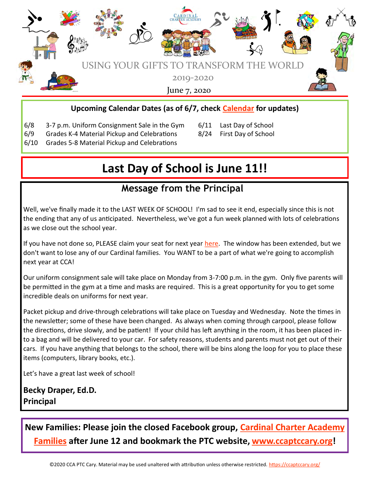

#### **Upcoming Calendar Dates (as of 6/7, check [Calendar](https://ccaptccary.org/calendar/) for updates)**

 $6/8$  3-7 p.m. Uniform Consignment Sale in the Gym  $6/11$  Last Day of School

6/9 Grades K-4 Material Pickup and Celebrations 8/24 First Day of School

6/10 Grades 5-8 Material Pickup and Celebrations

# **Last Day of School is June 11!!**

## **Message from the Principal**

Well, we've finally made it to the LAST WEEK OF SCHOOL! I'm sad to see it end, especially since this is not the ending that any of us anticipated. Nevertheless, we've got a fun week planned with lots of celebrations as we close out the school year.

If you have not done so, PLEASE claim your seat for next year [here.](https://csusa.schoolmint.net/) The window has been extended, but we don't want to lose any of our Cardinal families. You WANT to be a part of what we're going to accomplish next year at CCA!

Our uniform consignment sale will take place on Monday from 3-7:00 p.m. in the gym. Only five parents will be permitted in the gym at a time and masks are required. This is a great opportunity for you to get some incredible deals on uniforms for next year.

Packet pickup and drive-through celebrations will take place on Tuesday and Wednesday. Note the times in the newsletter; some of these have been changed. As always when coming through carpool, please follow the directions, drive slowly, and be patient! If your child has left anything in the room, it has been placed into a bag and will be delivered to your car. For safety reasons, students and parents must not get out of their cars. If you have anything that belongs to the school, there will be bins along the loop for you to place these items (computers, library books, etc.).

Let's have a great last week of school!

**Becky Draper, Ed.D. Principal**

**New Families: Please join the closed Facebook group, [Cardinal Charter Academy](https://www.facebook.com/groups/ccafamilies/)  [Families](https://www.facebook.com/groups/ccafamilies/) after June 12 and bookmark the PTC website, [www.ccaptccary.org!](http://www.ccaptccary.org)**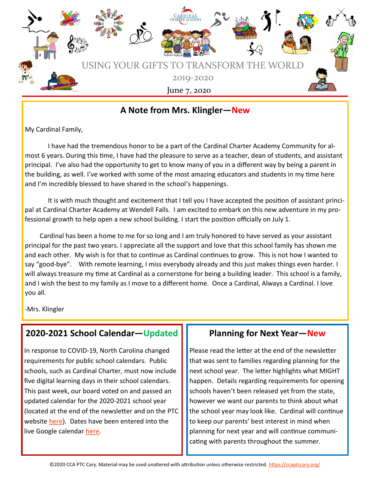

#### **A Note from Mrs. Klingler—New**

My Cardinal Family,

 I have had the tremendous honor to be a part of the Cardinal Charter Academy Community for almost 6 years. During this time, I have had the pleasure to serve as a teacher, dean of students, and assistant principal. I've also had the opportunity to get to know many of you in a different way by being a parent in the building, as well. I've worked with some of the most amazing educators and students in my time here and I'm incredibly blessed to have shared in the school's happenings.

 It is with much thought and excitement that I tell you I have accepted the position of assistant principal at Cardinal Charter Academy at Wendell Falls. I am excited to embark on this new adventure in my professional growth to help open a new school building. I start the position officially on July 1.

 Cardinal has been a home to me for so long and I am truly honored to have served as your assistant principal for the past two years. I appreciate all the support and love that this school family has shown me and each other. My wish is for that to continue as Cardinal continues to grow. This is not how I wanted to say "good-bye". With remote learning, I miss everybody already and this just makes things even harder. I will always treasure my time at Cardinal as a cornerstone for being a building leader. This school is a family, and I wish the best to my family as I move to a different home. Once a Cardinal, Always a Cardinal. I love you all.

-Mrs. Klingler

#### **2020-2021 School Calendar—Updated**

In response to COVID-19, North Carolina changed requirements for public school calendars. Public schools, such as Cardinal Charter, must now include five digital learning days in their school calendars. This past week, our board voted on and passed an updated calendar for the 2020-2021 school year (located at the end of the newsletter and on the PTC website [here\)](https://ccaptccary.org/wp-content/uploads/2020/06/CARD-2020-2021-Calendar-Visual-updated.pdf). Dates have been entered into the live Google calendar [here.](https://calendar.google.com/calendar/r?cid=ngrantcca@gmail.com)

#### **Planning for Next Year—New**

Please read the letter at the end of the newsletter that was sent to families regarding planning for the next school year. The letter highlights what MIGHT happen. Details regarding requirements for opening schools haven't been released yet from the state, however we want our parents to think about what the school year may look like. Cardinal will continue to keep our parents' best interest in mind when planning for next year and will continue communicating with parents throughout the summer.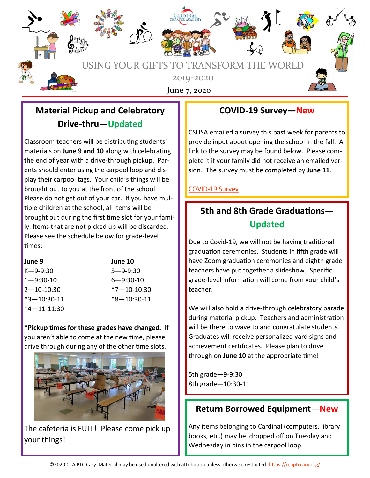

## **Material Pickup and Celebratory Drive-thru—Updated**

Classroom teachers will be distributing students' materials on **June 9 and 10** along with celebrating the end of year with a drive-through pickup. Parents should enter using the carpool loop and display their carpool tags. Your child's things will be brought out to you at the front of the school. Please do not get out of your car. If you have multiple children at the school, all items will be brought out during the first time slot for your family. Items that are not picked up will be discarded. Please see the schedule below for grade-level times:

| June 9            |
|-------------------|
| K—9-9:30          |
| 1—9:30-10         |
| $2 - 10 - 10:30$  |
| $*3 - 10:30 - 11$ |
| *4-11-11:30       |

**June 9 June 10**  $5 - 9 - 9:30$  $6 - 9:30 - 10$  $*7 - 10 - 10:30$  $*8 - 10:30 - 11$ 

**\*Pickup times for these grades have changed.** If you aren't able to come at the new time, please drive through during any of the other time slots.



The cafeteria is FULL! Please come pick up your things!

### **COVID-19 Survey—New**

CSUSA emailed a survey this past week for parents to provide input about opening the school in the fall. A link to the survey may be found below. Please complete it if your family did not receive an emailed version. The survey must be completed by **June 11**.

#### COVID-[19 Survey](https://www.surveymonkey.com/r/CSUSANCSCFall2020)

# **5th and 8th Grade Graduations— Updated**

Due to Covid-19, we will not be having traditional graduation ceremonies. Students in fifth grade will have Zoom graduation ceremonies and eighth grade teachers have put together a slideshow. Specific grade-level information will come from your child's teacher.

We will also hold a drive-through celebratory parade during material pickup. Teachers and administration will be there to wave to and congratulate students. Graduates will receive personalized yard signs and achievement certificates. Please plan to drive through on **June 10** at the appropriate time!

5th grade—9-9:30 8th grade—10:30-11

#### **Return Borrowed Equipment—New**

Any items belonging to Cardinal (computers, library books, etc.) may be dropped off on Tuesday and Wednesday in bins in the carpool loop.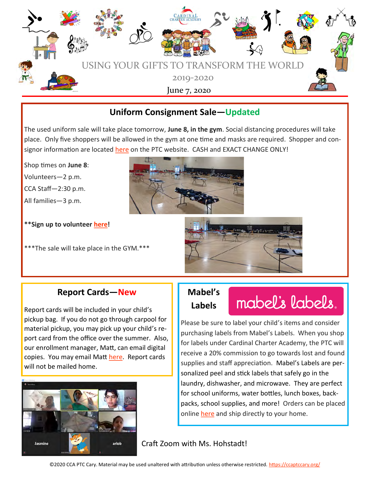

### **Uniform Consignment Sale—Updated**

The used uniform sale will take place tomorrow, **June 8, in the gym**. Social distancing procedures will take place. Only five shoppers will be allowed in the gym at one time and masks are required. Shopper and consignor information are located [here](https://ccaptccary.org/wp-content/uploads/2020/05/UniformSaleDocs2020-1.pdf) on the PTC website. CASH and EXACT CHANGE ONLY!

Shop times on **June 8**:

Volunteers—2 p.m.

CCA Staff—2:30 p.m.

All families—3 p.m.

**\*\*Sign up to volunteer [here!](https://signup.com/go/mLfFXjj)**

\*\*\*The sale will take place in the GYM.





#### **Report Cards—New**

Report cards will be included in your child's pickup bag. If you do not go through carpool for material pickup, you may pick up your child's report card from the office over the summer. Also, our enrollment manager, Matt, can email digital copies. You may email Matt [here.](mailto:mluxenberg@cardinalcharter.org) Report cards will not be mailed home.



#### **Mabel's Labels**

# mabel's labels.

Please be sure to label your child's items and consider purchasing labels from Mabel's Labels. When you shop for labels under Cardinal Charter Academy, the PTC will receive a 20% commission to go towards lost and found supplies and staff appreciation. Mabel's Labels are personalized peel and stick labels that safely go in the laundry, dishwasher, and microwave. They are perfect for school uniforms, water bottles, lunch boxes, backpacks, school supplies, and more! Orders can be placed online [here](https://mabelslabels.com/en_US/fundraising/support/) and ship directly to your home.

#### Craft Zoom with Ms. Hohstadt!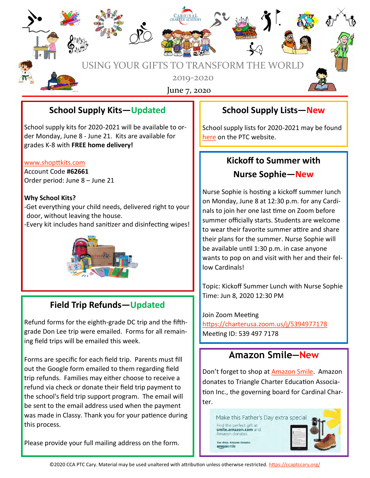

#### **School Supply Kits—Updated**

School supply kits for 2020-2021 will be available to order Monday, June 8 - June 21. Kits are available for grades K-8 with **FREE home delivery!** 

#### [www.shopttkits.com](http://www.shopttkits.com)

Account Code **#62661** Order period: June 8 – June 21

#### **Why School Kits?**

-Get everything your child needs, delivered right to your door, without leaving the house. -Every kit includes hand sanitizer and disinfecting wipes!



### **Field Trip Refunds—Updated**

Refund forms for the eighth-grade DC trip and the fifthgrade Don Lee trip were emailed. Forms for all remaining field trips will be emailed this week.

Forms are specific for each field trip. Parents must fill out the Google form emailed to them regarding field trip refunds. Families may either choose to receive a refund via check or donate their field trip payment to the school's field trip support program. The email will be sent to the email address used when the payment was made in Classy. Thank you for your patience during this process.

Please provide your full mailing address on the form.

#### **School Supply Lists—New**

School supply lists for 2020-2021 may be found [here](https://ccaptccary.org/resources/) on the PTC website.

# **Kickoff to Summer with Nurse Sophie—New**

Nurse Sophie is hosting a kickoff summer lunch on Monday, June 8 at 12:30 p.m. for any Cardinals to join her one last time on Zoom before summer officially starts. Students are welcome to wear their favorite summer attire and share their plans for the summer. Nurse Sophie will be available until 1:30 p.m. in case anyone wants to pop on and visit with her and their fellow Cardinals!

Topic: Kickoff Summer Lunch with Nurse Sophie Time: Jun 8, 2020 12:30 PM

Join Zoom Meeting <https://charterusa.zoom.us/j/5394977178> Meeting ID: 539 497 7178

### **Amazon Smile—New**

Don't forget to shop at [Amazon Smile.](smile.amazon.com/ch/90-1031905) Amazon donates to Triangle Charter Education Association Inc., the governing board for Cardinal Charter.

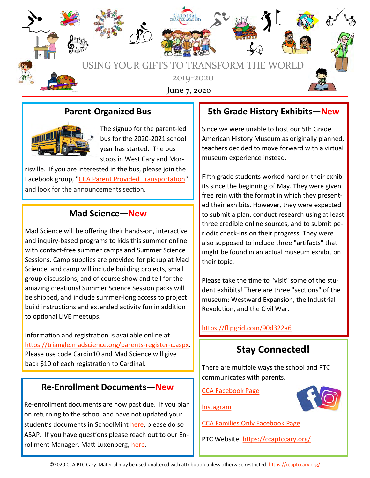![](_page_5_Picture_0.jpeg)

#### **Parent-Organized Bus**

![](_page_5_Picture_2.jpeg)

The signup for the parent-led bus for the 2020-2021 school year has started. The bus stops in West Cary and Mor-

risville. If you are interested in the bus, please join the Facebook group, ["CCA Parent Provided Transportation"](https://www.facebook.com/groups/956627097722854/)  and look for the announcements section.

#### **Mad Science—New**

Mad Science will be offering their hands-on, interactive and inquiry-based programs to kids this summer online with contact-free summer camps and Summer Science Sessions. Camp supplies are provided for pickup at Mad Science, and camp will include building projects, small group discussions, and of course show and tell for the amazing creations! Summer Science Session packs will be shipped, and include summer-long access to project build instructions and extended activity fun in addition to optional LIVE meetups.

Information and registration is available online at [https://triangle.madscience.org/parents](https://triangle.madscience.org/parents-register-c.aspx)-register-c.aspx. Please use code Cardin10 and Mad Science will give back \$10 of each registration to Cardinal.

#### **Re-Enrollment Documents—New**

Re-enrollment documents are now past due. If you plan on returning to the school and have not updated your student's documents in SchoolMint [here,](https://csusa.schoolmint.net/) please do so ASAP. If you have questions please reach out to our Enrollment Manager, Matt Luxenberg, here.

#### **5th Grade History Exhibits—New**

Since we were unable to host our 5th Grade American History Museum as originally planned, teachers decided to move forward with a virtual museum experience instead.

Fifth grade students worked hard on their exhibits since the beginning of May. They were given free rein with the format in which they presented their exhibits. However, they were expected to submit a plan, conduct research using at least three credible online sources, and to submit periodic check-ins on their progress. They were also supposed to include three "artifacts" that might be found in an actual museum exhibit on their topic.

Please take the time to "visit" some of the student exhibits! There are three "sections" of the museum: Westward Expansion, the Industrial Revolution, and the Civil War.

<https://flipgrid.com/90d322a6>

## **Stay Connected!**

There are multiple ways the school and PTC communicates with parents.

[CCA Facebook Page](https://www.facebook.com/CardinalCharter/)

[Instagram](https://www.instagram.com/cardinalcharteracademy/)

[CCA Families Only Facebook Page](https://www.facebook.com/groups/ccafamilies/)

PTC Website: <https://ccaptccary.org/>

![](_page_5_Picture_21.jpeg)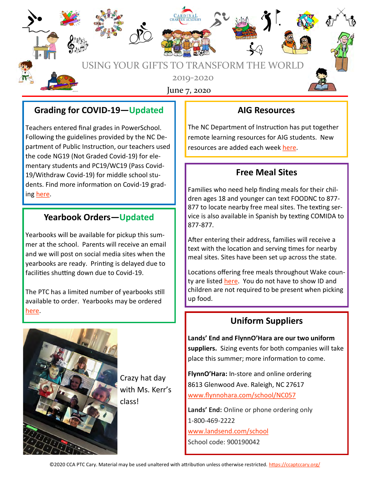![](_page_6_Picture_0.jpeg)

#### **Grading for COVID-19—Updated**

Teachers entered final grades in PowerSchool. Following the guidelines provided by the NC Department of Public Instruction, our teachers used the code NG19 (Not Graded Covid-19) for elementary students and PC19/WC19 (Pass Covid-19/Withdraw Covid-19) for middle school students. Find more information on Covid-19 grading [here.](https://content.govdelivery.com/attachments/NCSBE/2020/04/24/file_attachments/1435111/Slide1.JPG)

#### **Yearbook Orders—Updated**

Yearbooks will be available for pickup this summer at the school. Parents will receive an email and we will post on social media sites when the yearbooks are ready. Printing is delayed due to facilities shutting down due to Covid-19.

The PTC has a limited number of yearbooks still available to order. Yearbooks may be ordered [here.](https://www.classy.org/event/2019-2020-yearbook/e281372)

![](_page_6_Picture_6.jpeg)

Crazy hat day with Ms. Kerr's class!

#### **AIG Resources**

The NC Department of Instruction has put together remote learning resources for AIG students. New resources are added each week [here.](https://www.dpi.nc.gov/students-families/enhanced-opportunities/advanced-learning-and-gifted-education/2020-aig-remote-learning-resources)

#### **Free Meal Sites**

Families who need help finding meals for their children ages 18 and younger can text FOODNC to 877- 877 to locate nearby free meal sites. The texting service is also available in Spanish by texting COMIDA to 877-877.

After entering their address, families will receive a text with the location and serving times for nearby meal sites. Sites have been set up across the state.

Locations offering free meals throughout Wake county are listed [here.](https://www.wcpss.net/domain/16591) You do not have to show ID and children are not required to be present when picking up food.

#### **Uniform Suppliers**

**Lands' End and FlynnO'Hara are our two uniform suppliers.** Sizing events for both companies will take place this summer; more information to come.

**FlynnO'Hara:** In-store and online ordering 8613 Glenwood Ave. Raleigh, NC 27617 [www.flynnohara.com/school/NC057](http://www.flynnohara.com/school/NC057)

**Lands' End:** Online or phone ordering only 1-800-469-2222 [www.landsend.com/school](http://www.landsend.com/school)  School code: 900190042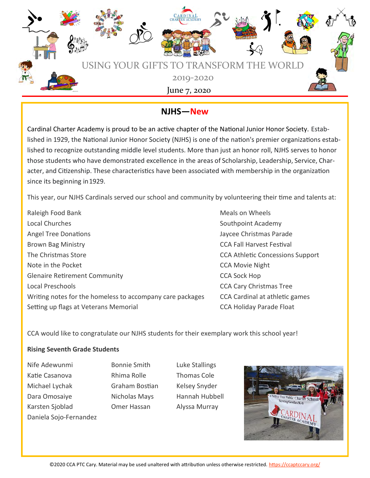![](_page_7_Picture_0.jpeg)

#### **NJHS—New**

Cardinal Charter Academy is proud to be an active chapter of the National Junior Honor Society. Established in 1929, the National Junior Honor Society (NJHS) is one of the nation's premier organizations established to recognize outstanding middle level students. More than just an honor roll, NJHS serves to honor those students who have demonstrated excellence in the areas of Scholarship, Leadership, Service, Character, and Citizenship. These characteristics have been associated with membership in the organization since its beginning in1929.

This year, our NJHS Cardinals served our school and community by volunteering their time and talents at:

Raleigh Food Bank Meals on Wheels and Meals on Wheels Local Churches **Southpoint Academy** Southpoint Academy Angel Tree Donations Jaycee Christmas Parade Brown Bag Ministry CCA Fall Harvest Festival The Christmas Store CCA Athletic Concessions Support Note in the Pocket **CCA** Movie Night Glenaire Retirement Community CCA Sock Hop Local Preschools CCA Cary Christmas Tree Writing notes for the homeless to accompany care packages CCA Cardinal at athletic games Setting up flags at Veterans Memorial CCA Holiday Parade Float

CCA would like to congratulate our NJHS students for their exemplary work this school year!

#### **Rising Seventh Grade Students**

Nife Adewunmi Bonnie Smith Luke Stallings Katie Casanova **Rhima Rolle** Thomas Cole Michael Lychak Graham Bostian Kelsey Snyder Dara Omosaiye **Nicholas Mays** Hannah Hubbell Karsten Sjoblad Omer Hassan Alyssa Murray Daniela Sojo-Fernandez

![](_page_7_Picture_11.jpeg)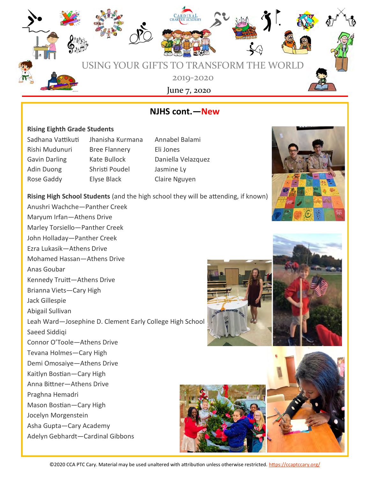![](_page_8_Picture_0.jpeg)

#### **NJHS cont.—New**

#### **Rising Eighth Grade Students**

- Sadhana Vattikuti Jhanisha Kurmana Annabel Balami Rishi Mudunuri Bree Flannery Eli Jones Gavin Darling Kate Bullock Daniella Velazquez Adin Duong Shristi Poudel Jasmine Ly Rose Gaddy Elyse Black Claire Nguyen
	-
- 

![](_page_8_Picture_6.jpeg)

**Rising High School Students** (and the high school they will be attending, if known)

Anushri Wachche—Panther Creek Maryum Irfan—Athens Drive Marley Torsiello—Panther Creek John Holladay—Panther Creek Ezra Lukasik—Athens Drive Mohamed Hassan—Athens Drive Anas Goubar Kennedy Truitt—Athens Drive Brianna Viets—Cary High Jack Gillespie Abigail Sullivan Leah Ward—Josephine D. Clement Early College High School Saeed Siddiqi Connor O'Toole—Athens Drive Tevana Holmes—Cary High Demi Omosaiye—Athens Drive Kaitlyn Bostian—Cary High Anna Bittner—Athens Drive Praghna Hemadri Mason Bostian—Cary High Jocelyn Morgenstein Asha Gupta—Cary Academy Adelyn Gebhardt—Cardinal Gibbons

![](_page_8_Picture_9.jpeg)

![](_page_8_Picture_10.jpeg)

![](_page_8_Picture_11.jpeg)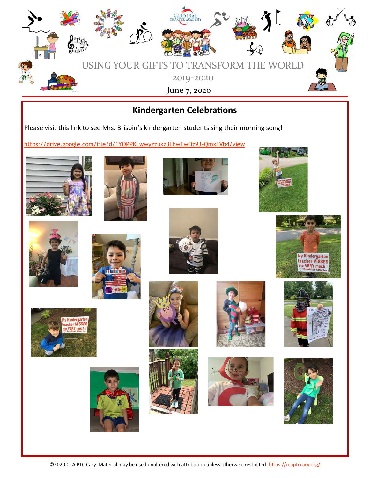![](_page_9_Picture_0.jpeg)

![](_page_9_Picture_1.jpeg)

![](_page_9_Picture_2.jpeg)

![](_page_9_Picture_3.jpeg)

![](_page_9_Picture_4.jpeg)

![](_page_9_Picture_5.jpeg)

![](_page_9_Picture_6.jpeg)

![](_page_9_Picture_7.jpeg)

![](_page_9_Picture_8.jpeg)

![](_page_9_Picture_9.jpeg)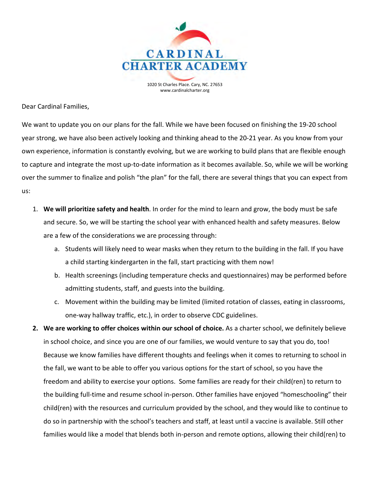![](_page_10_Picture_0.jpeg)

www.cardinalcharter.org

Dear Cardinal Families,

We want to update you on our plans for the fall. While we have been focused on finishing the 19-20 school year strong, we have also been actively looking and thinking ahead to the 20-21 year. As you know from your own experience, information is constantly evolving, but we are working to build plans that are flexible enough to capture and integrate the most up-to-date information as it becomes available. So, while we will be working over the summer to finalize and polish "the plan" for the fall, there are several things that you can expect from us:

- 1. **We will prioritize safety and health**. In order for the mind to learn and grow, the body must be safe and secure. So, we will be starting the school year with enhanced health and safety measures. Below are a few of the considerations we are processing through:
	- a. Students will likely need to wear masks when they return to the building in the fall. If you have a child starting kindergarten in the fall, start practicing with them now!
	- b. Health screenings (including temperature checks and questionnaires) may be performed before admitting students, staff, and guests into the building.
	- c. Movement within the building may be limited (limited rotation of classes, eating in classrooms, one-way hallway traffic, etc.), in order to observe CDC guidelines.
- **2. We are working to offer choices within our school of choice.** As a charter school, we definitely believe in school choice, and since you are one of our families, we would venture to say that you do, too! Because we know families have different thoughts and feelings when it comes to returning to school in the fall, we want to be able to offer you various options for the start of school, so you have the freedom and ability to exercise your options. Some families are ready for their child(ren) to return to the building full-time and resume school in-person. Other families have enjoyed "homeschooling" their child(ren) with the resources and curriculum provided by the school, and they would like to continue to do so in partnership with the school's teachers and staff, at least until a vaccine is available. Still other families would like a model that blends both in-person and remote options, allowing their child(ren) to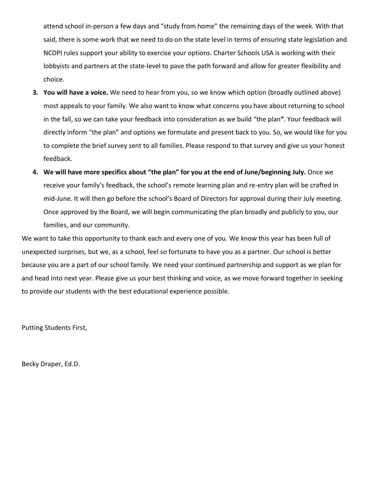attend school in-person a few days and "study from home" the remaining days of the week. With that said, there is some work that we need to do on the state level in terms of ensuring state legislation and NCDPI rules support your ability to exercise your options. Charter Schools USA is working with their lobbyists and partners at the state-level to pave the path forward and allow for greater flexibility and choice.

- **3. You will have a voice.** We need to hear from you, so we know which option (broadly outlined above) most appeals to your family. We also want to know what concerns you have about returning to school in the fall, so we can take your feedback into consideration as we build "the plan**"**. Your feedback will directly inform "the plan" and options we formulate and present back to you. So, we would like for you to complete the brief survey sent to all families. Please respond to that survey and give us your honest feedback.
- **4. We will have more specifics about "the plan" for you at the end of June/beginning July.** Once we receive your family's feedback, the school's remote learning plan and re-entry plan will be crafted in mid-June. It will then go before the school's Board of Directors for approval during their July meeting. Once approved by the Board, we will begin communicating the plan broadly and publicly to you, our families, and our community.

We want to take this opportunity to thank each and every one of you. We know this year has been full of unexpected surprises, but we, as a school, feel so fortunate to have you as a partner. Our school is better because you are a part of our school family. We need your continued partnership and support as we plan for and head into next year. Please give us your best thinking and voice, as we move forward together in seeking to provide our students with the best educational experience possible.

Putting Students First,

Becky Draper, Ed.D.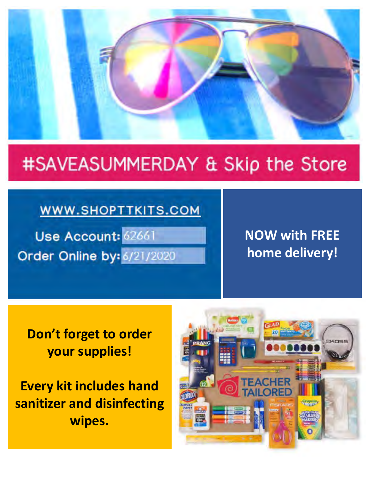![](_page_12_Picture_0.jpeg)

# #SAVEASUMMERDAY & Skip the Store

# WWW.SHOPTTKITS.COM

Use Account: 62661 Order Online by: 6/21/2020

# **NOW with FREE home delivery!**

# **Don't forget to order your supplies!**

**Every kit includes hand sanitizer and disinfecting wipes.**

![](_page_12_Picture_7.jpeg)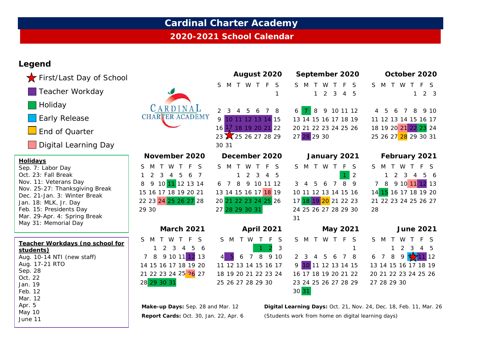## **Cardinal Charter Academy**

#### **2020-2021 School Calendar**

#### **Legend**

![](_page_13_Figure_3.jpeg)

Oct. 23: Fall Break Nov. 11: Veterans Day Nov. 25-27: Thanksgiving Break Dec. 21-Jan. 3: Winter Break Jan. 18: MLK, Jr. Day Feb. 15: Presidents Day Mar. 29-Apr. 4: Spring Break May 31: Memorial Day

#### **Teacher Workdays (no school for students)** Aug. 10-14 NTI (new staff) Aug. 17-21 RTO Sep. 28 Oct. 22 Jan. 19 Feb. 12 Mar<sub>12</sub> Apr. 5 May 10 June 11

|                                  | August 2020                                           | September 2020                                                      | Octob                          |
|----------------------------------|-------------------------------------------------------|---------------------------------------------------------------------|--------------------------------|
|                                  | SMTWTFS<br>1                                          | SMTWTFS<br>$2 \quad 3 \quad 4 \quad 5$<br>1                         | S M T W                        |
| CARDINAL                         |                                                       |                                                                     |                                |
| <b>CHARTER ACADEMY</b>           | 2 3 4 5 6 7 8                                         | 6 7 8 9 10 11 12 4 5 6 7                                            |                                |
|                                  | 9 10 11 12 13 14 15                                   | 13 14 15 16 17 18 19                                                | 11 12 13 14                    |
|                                  | 16 17 18 19 20 21 22                                  | 20 21 22 23 24 25 26                                                | 18 19 20 21                    |
|                                  | 23 2 25 26 27 28 29                                   | 27 28 29 30                                                         | 25 26 27 28                    |
|                                  | 30 31                                                 |                                                                     |                                |
| November 2020                    | December 2020                                         | January 2021                                                        | Februa                         |
| SMTWTFS                          | SMTWTF<br>$\mathsf{S}$                                | SMTWTFS                                                             | S M T W                        |
| 1 2 3 4 5<br>6<br>$\overline{7}$ | 2 <sub>3</sub><br>$\overline{4}$<br>5<br>$\mathbf{1}$ | $\overline{2}$<br>$\mathbf{1}$                                      | $1 \quad 2 \quad 3$            |
| 8 9 10 11 12 13 14               | 8 9 10 11 12<br>6 7                                   | 8<br>$3 \quad 4 \quad 5$<br>9<br>$6\overline{6}$<br>$7\overline{ }$ | 7 8 9 10                       |
| 15 16 17 18 19 20 21             | 13 14 15 16 17 18 19                                  | 10 11 12 13 14 15 16                                                | 14 15 16 17                    |
| 22 23 24 25 26 27 28             | 20 21 22 23 24 25 26                                  | 17 <mark>18 19 20</mark> 21 22 23                                   | 21 22 23 24                    |
| 29 30                            | 27 28 29 30 31                                        | 24 25 26 27 28 29 30                                                | 28                             |
|                                  |                                                       | 31                                                                  |                                |
| <b>March 2021</b>                | <b>April 2021</b>                                     | May 2021                                                            | Jul                            |
| SMTWTFS                          | T W T F S<br>S M                                      | SMTWTFS                                                             | S M T W                        |
| 1 2 3 4 5<br>6                   | $1\quad2\quad3$                                       | $\mathbf{1}$                                                        | $\overline{2}$<br>$\mathbf{1}$ |
| 7 8 9 10 11 12 13                | $4 \overline{5}$<br>6 7<br>8 9 10                     | 2 3 4 5 6 7 8                                                       | 6 7 8 9                        |
| 14 15 16 17 18 19 20             | 11 12 13 14 15 16 17                                  | 9 10 11 12 13 14 15                                                 | 13 14 15 16                    |
| 21 22 23 24 25 26 27             | 18 19 20 21 22 23 24                                  | 16 17 18 19 20 21 22                                                | 20 21 22 23                    |
| 28 29 30 31                      | 25 26 27 28 29 30                                     | 23 24 25 26 27 28 29                                                | 27 28 29 30                    |
|                                  |                                                       | $20 \times 21$                                                      |                                |

|                                                                              | August 2020                                                | September 2020                                               | October 2020                     |
|------------------------------------------------------------------------------|------------------------------------------------------------|--------------------------------------------------------------|----------------------------------|
|                                                                              | W T<br>F<br>S<br>S.<br>M T                                 | S M T<br>M<br>T<br>S<br>F                                    | SMTWT<br>S<br>F                  |
|                                                                              | 1                                                          | 3<br>$\mathbf{1}$<br>$\overline{2}$<br>$\overline{4}$<br>- 5 | 2 <sub>3</sub><br>$\mathbf{1}$   |
|                                                                              |                                                            |                                                              |                                  |
| CARDINAL                                                                     | $\overline{2}$<br>3 4 5 6 7 8                              | 8 9 10 11 12<br>6<br>7 <sup>1</sup>                          | 4 5 6 7 8 9 10                   |
| <b>CHARTER ACADEMY</b>                                                       | 9 10 11 12 13 14 15                                        | 13 14 15 16 17 18 19                                         | 11 12 13 14 15 16 17             |
|                                                                              | 16 17 18 19 20 21 22                                       | 20 21 22 23 24 25 26                                         | 18 19 20 21 22 23 24             |
|                                                                              | 23 2 25 26 27 28 29                                        | $27$ 28 29 30                                                | 25 26 27 28 29 30 31             |
|                                                                              | 30 31                                                      |                                                              |                                  |
| November 2020                                                                | December 2020                                              | January 2021                                                 | February 2021                    |
| <sub>S</sub><br>S M<br>W<br>F<br>Τ                                           | S M T<br><sub>S</sub><br>W<br>F                            | SMTWT<br>- F<br><sub>S</sub>                                 | S<br>S.<br>M<br>T W<br>E<br>T    |
| $\overline{2}$<br>$\mathbf{3}$<br>4 5<br>6<br>$\overline{7}$<br>$\mathbf{1}$ | 2<br>$\mathbf{3}$<br>$\overline{4}$<br>$\mathbf{1}$<br>- 5 | 2                                                            | 2 3 4 5 6<br>$\mathbf{1}$        |
| 8 9 10 11 12 13 14                                                           | 6 7 8 9 10 11 12                                           | 8<br>$3 \quad 4 \quad 5$<br>6<br>$\overline{7}$<br>9         | 9 10 11 12 13<br>7 8             |
| 15 16 17 18 19 20 21                                                         | 13 14 15 16 17 18 19                                       | 10 11 12 13 14 15 16                                         | 15 16 17 18 19 20<br>14          |
| 22 23 24 25 26 27 28                                                         | 20 21 22 23 24 25 26                                       | 17 18 19 20 21 22 23                                         | 21 22 23 24 25 26 27             |
| 29 30                                                                        | 27 28 29 30 31                                             | 24 25 26 27 28 29 30                                         | 28                               |
|                                                                              |                                                            | 31                                                           |                                  |
| <b>March 2021</b>                                                            | <b>April 2021</b>                                          | <b>May 2021</b>                                              | <b>June 2021</b>                 |
| S M<br>T W T<br>S<br>F                                                       | S M<br>T W<br>S<br>-F                                      | SMTWTFS                                                      | S M<br>W<br>- S<br>F<br>$\top$   |
| 2 3 4 5<br>$\mathbf{1}$<br>- 6                                               | 2<br>3<br>1                                                | $\mathbf{1}$                                                 | 2 3 4 5<br>$\mathbf{1}$          |
| 7 8 9 10 11 12<br>13                                                         | 8<br>9 10<br>-5<br>6<br>- 7                                | 2 3 4 5 6 7 8                                                | 6 7<br>8<br>9 <sup>1</sup><br>12 |
| 14 15 16 17 18 19 20                                                         | 11 12 13 14 15 16 17                                       | 9 <sup>1</sup><br>10 11 12 13 14 15                          | 13 14 15 16 17 18 19             |
| 21 22 23 24 25 26 27                                                         | 18 19 20 21 22 23 24                                       | 16 17 18 19 20 21 22                                         | 20 21 22 23 24 25 26             |
|                                                                              |                                                            |                                                              |                                  |

*[Calendar Template](http://www.calendarlabs.com/calendar-template) © www.calendarlabs.com* **Make-up Days:** Sep. 28 and Mar. 12 **Digital Learning Days:** Oct. 21, Nov. 24, Dec. 18, Feb. 11, Mar. 26 **Report Cards:** Oct. 30, Jan. 22, Apr. 6 (Students work from home on digital learning days)

30 31